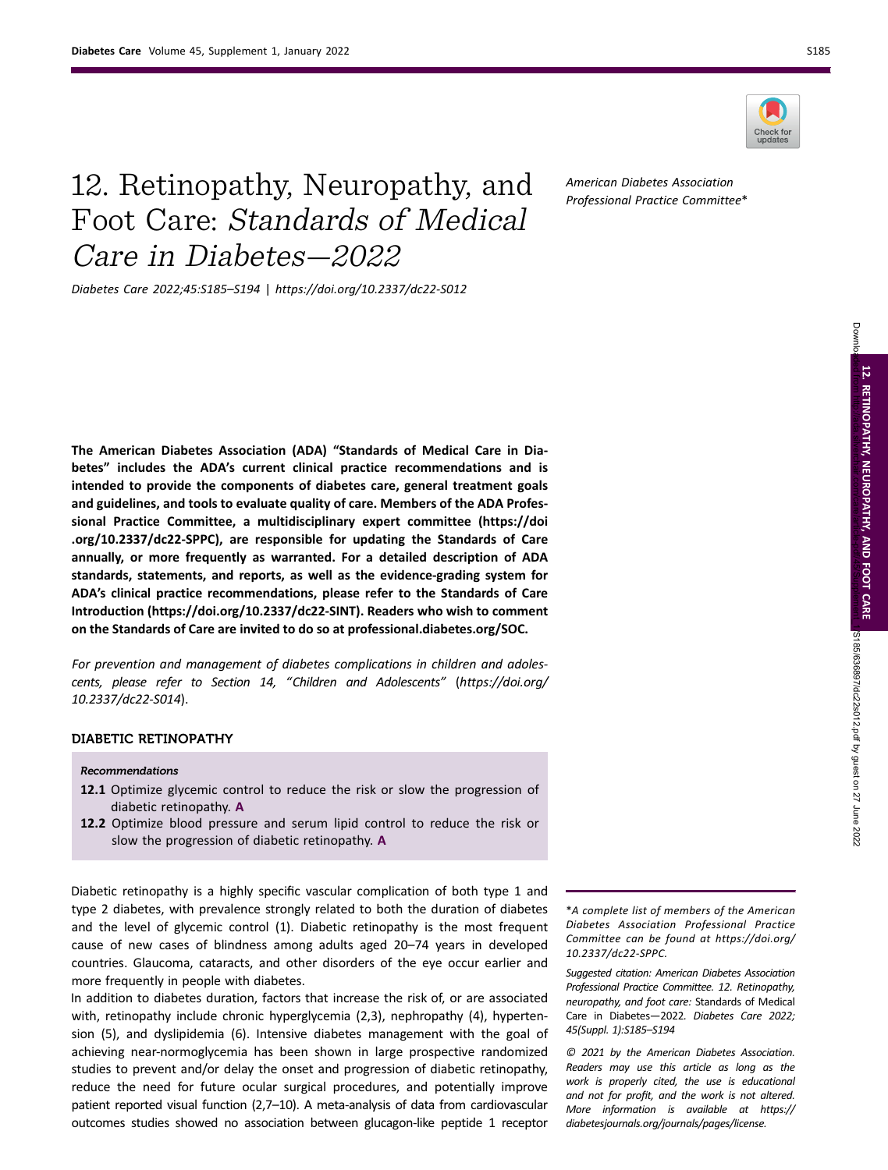

# 12. Retinopathy, Neuropathy, and Foot Care: Standards of Medical Care in Diabetes—2022

Diabetes Care 2022;45:S185–S194 | https://doi.org/10.2337/dc22-S012

The American Diabetes Association (ADA) "Standards of Medical Care in Diabetes" includes the ADA's current clinical practice recommendations and is intended to provide the components of diabetes care, general treatment goals and guidelines, and tools to evaluate quality of care. Members of the ADA Professional Practice Committee, a multidisciplinary expert committee ([https://doi](https://doi.org/10.2337/dc22-SPPC) [.org/10.2337/dc22-SPPC\)](https://doi.org/10.2337/dc22-SPPC), are responsible for updating the Standards of Care annually, or more frequently as warranted. For a detailed description of ADA standards, statements, and reports, as well as the evidence-grading system for ADA's clinical practice recommendations, please refer to the Standards of Care Introduction (<https://doi.org/10.2337/dc22-SINT>). Readers who wish to comment on the Standards of Care are invited to do so at [professional.diabetes.org/SOC](https://professional.diabetes.org/SOC).

For prevention and management of diabetes complications in children and adolescents, please refer to Section 14, "Children and Adolescents" ([https://doi.org/](https://doi.org/10.2337/dc22-S014) [10.2337/dc22-S014](https://doi.org/10.2337/dc22-S014)).

# DIABETIC RETINOPATHY

### Recommendations

- 12.1 Optimize glycemic control to reduce the risk or slow the progression of diabetic retinopathy. A
- 12.2 Optimize blood pressure and serum lipid control to reduce the risk or slow the progression of diabetic retinopathy. A

Diabetic retinopathy is a highly specific vascular complication of both type 1 and type 2 diabetes, with prevalence strongly related to both the duration of diabetes and the level of glycemic control (1). Diabetic retinopathy is the most frequent cause of new cases of blindness among adults aged 20–74 years in developed countries. Glaucoma, cataracts, and other disorders of the eye occur earlier and more frequently in people with diabetes.

In addition to diabetes duration, factors that increase the risk of, or are associated with, retinopathy include chronic hyperglycemia (2,3), nephropathy (4), hypertension (5), and dyslipidemia (6). Intensive diabetes management with the goal of achieving near-normoglycemia has been shown in large prospective randomized studies to prevent and/or delay the onset and progression of diabetic retinopathy, reduce the need for future ocular surgical procedures, and potentially improve patient reported visual function (2,7–10). A meta-analysis of data from cardiovascular outcomes studies showed no association between glucagon-like peptide 1 receptor \*A complete list of members of the American Diabetes Association Professional Practice Committee can be found at [https://doi.org/](https://doi.org/10.2337/dc22-SPPC) [10.2337/dc22-SPPC.](https://doi.org/10.2337/dc22-SPPC)

Suggested citation: American Diabetes Association Professional Practice Committee. 12. Retinopathy, neuropathy, and foot care: Standards of Medical Care in Diabetes—2022. Diabetes Care 2022; 45(Suppl. 1):S185–S194

© 2021 by the American Diabetes Association. Readers may use this article as long as the work is properly cited, the use is educational and not for profit, and the work is not altered. More information is available at [https://](https://diabetesjournals.org/journals/pages/license) [diabetesjournals.org/journals/pages/license](https://diabetesjournals.org/journals/pages/license).

American Diabetes Association

Professional Practice Committee\*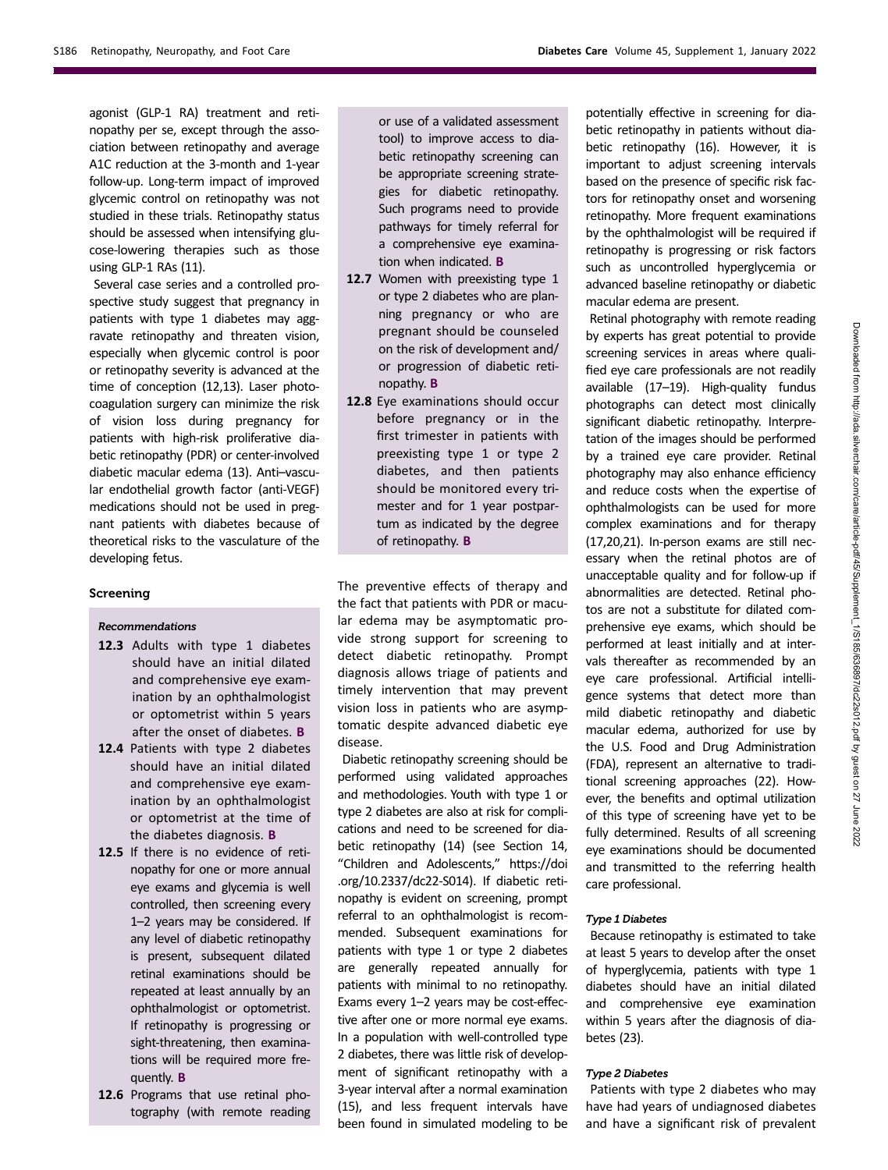agonist (GLP-1 RA) treatment and retinopathy per se, except through the association between retinopathy and average A1C reduction at the 3-month and 1-year follow-up. Long-term impact of improved glycemic control on retinopathy was not studied in these trials. Retinopathy status should be assessed when intensifying glucose-lowering therapies such as those using GLP-1 RAs (11).

Several case series and a controlled prospective study suggest that pregnancy in patients with type 1 diabetes may aggravate retinopathy and threaten vision, especially when glycemic control is poor or retinopathy severity is advanced at the time of conception (12,13). Laser photocoagulation surgery can minimize the risk of vision loss during pregnancy for patients with high-risk proliferative diabetic retinopathy (PDR) or center-involved diabetic macular edema (13). Anti–vascular endothelial growth factor (anti-VEGF) medications should not be used in pregnant patients with diabetes because of theoretical risks to the vasculature of the developing fetus.

## Screening

#### Recommendations

- 12.3 Adults with type 1 diabetes should have an initial dilated and comprehensive eye examination by an ophthalmologist or optometrist within 5 years after the onset of diabetes. B
- 12.4 Patients with type 2 diabetes should have an initial dilated and comprehensive eye examination by an ophthalmologist or optometrist at the time of the diabetes diagnosis. B
- 12.5 If there is no evidence of retinopathy for one or more annual eye exams and glycemia is well controlled, then screening every 1–2 years may be considered. If any level of diabetic retinopathy is present, subsequent dilated retinal examinations should be repeated at least annually by an ophthalmologist or optometrist. If retinopathy is progressing or sight-threatening, then examinations will be required more frequently. B
- 12.6 Programs that use retinal photography (with remote reading

or use of a validated assessment tool) to improve access to diabetic retinopathy screening can be appropriate screening strategies for diabetic retinopathy. Such programs need to provide pathways for timely referral for a comprehensive eye examination when indicated. **B** 

- 12.7 Women with preexisting type 1 or type 2 diabetes who are planning pregnancy or who are pregnant should be counseled on the risk of development and/ or progression of diabetic retinopathy. B
- 12.8 Eye examinations should occur before pregnancy or in the first trimester in patients with preexisting type 1 or type 2 diabetes, and then patients should be monitored every trimester and for 1 year postpartum as indicated by the degree of retinopathy. B

The preventive effects of therapy and the fact that patients with PDR or macular edema may be asymptomatic provide strong support for screening to detect diabetic retinopathy. Prompt diagnosis allows triage of patients and timely intervention that may prevent vision loss in patients who are asymptomatic despite advanced diabetic eye disease.

Diabetic retinopathy screening should be performed using validated approaches and methodologies. Youth with type 1 or type 2 diabetes are also at risk for complications and need to be screened for diabetic retinopathy (14) (see Section 14, "Children and Adolescents," [https://doi](https://doi.org/10.2337/dc22-S014) [.org/10.2337/dc22-S014\)](https://doi.org/10.2337/dc22-S014). If diabetic retinopathy is evident on screening, prompt referral to an ophthalmologist is recommended. Subsequent examinations for patients with type 1 or type 2 diabetes are generally repeated annually for patients with minimal to no retinopathy. Exams every 1–2 years may be cost-effective after one or more normal eye exams. In a population with well-controlled type 2 diabetes, there was little risk of development of significant retinopathy with a 3-year interval after a normal examination (15), and less frequent intervals have been found in simulated modeling to be

potentially effective in screening for diabetic retinopathy in patients without diabetic retinopathy (16). However, it is important to adjust screening intervals based on the presence of specific risk factors for retinopathy onset and worsening retinopathy. More frequent examinations by the ophthalmologist will be required if retinopathy is progressing or risk factors such as uncontrolled hyperglycemia or advanced baseline retinopathy or diabetic macular edema are present.

Retinal photography with remote reading by experts has great potential to provide screening services in areas where qualified eye care professionals are not readily available (17–19). High-quality fundus photographs can detect most clinically significant diabetic retinopathy. Interpretation of the images should be performed by a trained eye care provider. Retinal photography may also enhance efficiency and reduce costs when the expertise of ophthalmologists can be used for more complex examinations and for therapy (17,20,21). In-person exams are still necessary when the retinal photos are of unacceptable quality and for follow-up if abnormalities are detected. Retinal photos are not a substitute for dilated comprehensive eye exams, which should be performed at least initially and at intervals thereafter as recommended by an eye care professional. Artificial intelligence systems that detect more than mild diabetic retinopathy and diabetic macular edema, authorized for use by the U.S. Food and Drug Administration (FDA), represent an alternative to traditional screening approaches (22). However, the benefits and optimal utilization of this type of screening have yet to be fully determined. Results of all screening eye examinations should be documented and transmitted to the referring health care professional.

#### Type 1 Diabetes

Because retinopathy is estimated to take at least 5 years to develop after the onset of hyperglycemia, patients with type 1 diabetes should have an initial dilated and comprehensive eye examination within 5 years after the diagnosis of diabetes (23).

## Type 2 Diabetes

Patients with type 2 diabetes who may have had years of undiagnosed diabetes and have a significant risk of prevalent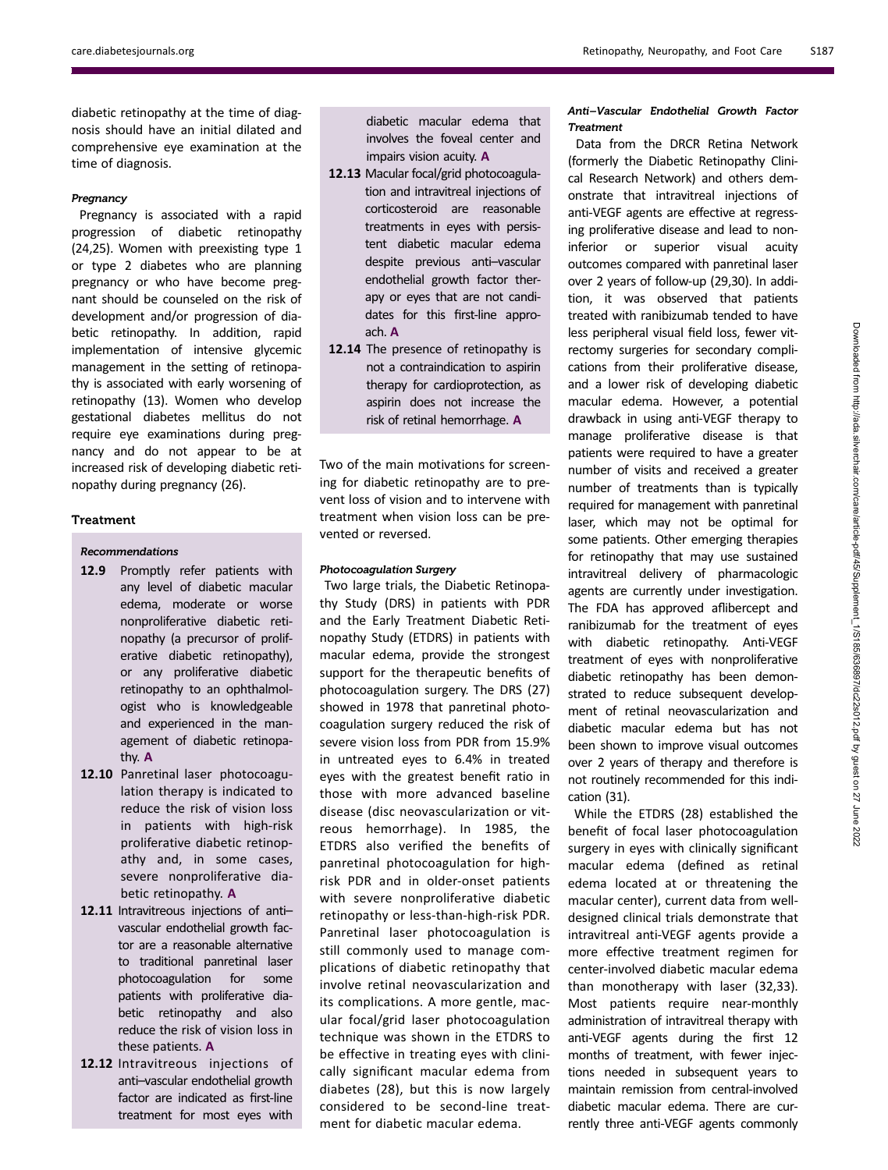diabetic retinopathy at the time of diagnosis should have an initial dilated and comprehensive eye examination at the time of diagnosis.

### **Pregnancy**

Pregnancy is associated with a rapid progression of diabetic retinopathy (24,25). Women with preexisting type 1 or type 2 diabetes who are planning pregnancy or who have become pregnant should be counseled on the risk of development and/or progression of diabetic retinopathy. In addition, rapid implementation of intensive glycemic management in the setting of retinopathy is associated with early worsening of retinopathy (13). Women who develop gestational diabetes mellitus do not require eye examinations during pregnancy and do not appear to be at increased risk of developing diabetic retinopathy during pregnancy (26).

### **Treatment**

#### Recommendations

- 12.9 Promptly refer patients with any level of diabetic macular edema, moderate or worse nonproliferative diabetic retinopathy (a precursor of proliferative diabetic retinopathy), or any proliferative diabetic retinopathy to an ophthalmologist who is knowledgeable and experienced in the management of diabetic retinopathy. A
- 12.10 Panretinal laser photocoagulation therapy is indicated to reduce the risk of vision loss in patients with high-risk proliferative diabetic retinopathy and, in some cases, severe nonproliferative diabetic retinopathy. A
- 12.11 Intravitreous injections of antivascular endothelial growth factor are a reasonable alternative to traditional panretinal laser photocoagulation for some patients with proliferative diabetic retinopathy and also reduce the risk of vision loss in these patients. A
- 12.12 Intravitreous injections of anti–vascular endothelial growth factor are indicated as first-line treatment for most eyes with

diabetic macular edema that involves the foveal center and impairs vision acuity. A

- 12.13 Macular focal/grid photocoagulation and intravitreal injections of corticosteroid are reasonable treatments in eyes with persistent diabetic macular edema despite previous anti–vascular endothelial growth factor therapy or eyes that are not candidates for this first-line approach. A
- 12.14 The presence of retinopathy is not a contraindication to aspirin therapy for cardioprotection, as aspirin does not increase the risk of retinal hemorrhage. A

Two of the main motivations for screening for diabetic retinopathy are to prevent loss of vision and to intervene with treatment when vision loss can be prevented or reversed.

## Photocoagulation Surgery

Two large trials, the Diabetic Retinopathy Study (DRS) in patients with PDR and the Early Treatment Diabetic Retinopathy Study (ETDRS) in patients with macular edema, provide the strongest support for the therapeutic benefits of photocoagulation surgery. The DRS (27) showed in 1978 that panretinal photocoagulation surgery reduced the risk of severe vision loss from PDR from 15.9% in untreated eyes to 6.4% in treated eyes with the greatest benefit ratio in those with more advanced baseline disease (disc neovascularization or vitreous hemorrhage). In 1985, the ETDRS also verified the benefits of panretinal photocoagulation for highrisk PDR and in older-onset patients with severe nonproliferative diabetic retinopathy or less-than-high-risk PDR. Panretinal laser photocoagulation is still commonly used to manage complications of diabetic retinopathy that involve retinal neovascularization and its complications. A more gentle, macular focal/grid laser photocoagulation technique was shown in the ETDRS to be effective in treating eyes with clinically significant macular edema from diabetes (28), but this is now largely considered to be second-line treatment for diabetic macular edema.

## Anti–Vascular Endothelial Growth Factor Treatment

Data from the DRCR Retina Network (formerly the Diabetic Retinopathy Clinical Research Network) and others demonstrate that intravitreal injections of anti-VEGF agents are effective at regressing proliferative disease and lead to noninferior or superior visual acuity outcomes compared with panretinal laser over 2 years of follow-up (29,30). In addition, it was observed that patients treated with ranibizumab tended to have less peripheral visual field loss, fewer vitrectomy surgeries for secondary complications from their proliferative disease, and a lower risk of developing diabetic macular edema. However, a potential drawback in using anti-VEGF therapy to manage proliferative disease is that patients were required to have a greater number of visits and received a greater number of treatments than is typically required for management with panretinal laser, which may not be optimal for some patients. Other emerging therapies for retinopathy that may use sustained intravitreal delivery of pharmacologic agents are currently under investigation. The FDA has approved aflibercept and ranibizumab for the treatment of eyes with diabetic retinopathy. Anti-VEGF treatment of eyes with nonproliferative diabetic retinopathy has been demonstrated to reduce subsequent development of retinal neovascularization and diabetic macular edema but has not been shown to improve visual outcomes over 2 years of therapy and therefore is not routinely recommended for this indication (31).

While the ETDRS (28) established the benefit of focal laser photocoagulation surgery in eyes with clinically significant macular edema (defined as retinal edema located at or threatening the macular center), current data from welldesigned clinical trials demonstrate that intravitreal anti-VEGF agents provide a more effective treatment regimen for center-involved diabetic macular edema than monotherapy with laser (32,33). Most patients require near-monthly administration of intravitreal therapy with anti-VEGF agents during the first 12 months of treatment, with fewer injections needed in subsequent years to maintain remission from central-involved diabetic macular edema. There are currently three anti-VEGF agents commonly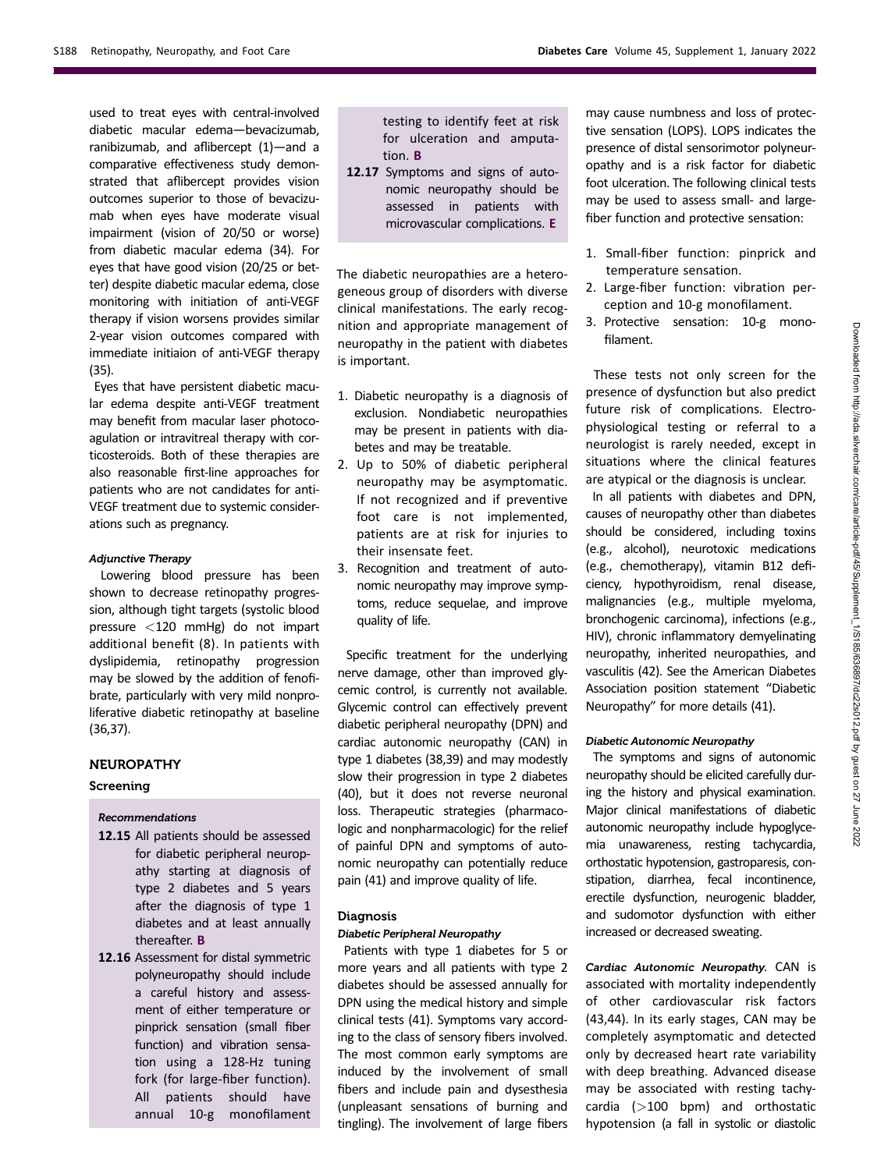used to treat eyes with central-involved diabetic macular edema—bevacizumab, ranibizumab, and aflibercept (1)—and a comparative effectiveness study demonstrated that aflibercept provides vision outcomes superior to those of bevacizumab when eyes have moderate visual impairment (vision of 20/50 or worse) from diabetic macular edema (34). For eyes that have good vision (20/25 or better) despite diabetic macular edema, close monitoring with initiation of anti-VEGF therapy if vision worsens provides similar 2-year vision outcomes compared with immediate initiaion of anti-VEGF therapy (35).

Eyes that have persistent diabetic macular edema despite anti-VEGF treatment may benefit from macular laser photocoagulation or intravitreal therapy with corticosteroids. Both of these therapies are also reasonable first-line approaches for patients who are not candidates for anti-VEGF treatment due to systemic considerations such as pregnancy.

## Adjunctive Therapy

Lowering blood pressure has been shown to decrease retinopathy progression, although tight targets (systolic blood pressure <120 mmHg) do not impart additional benefit (8). In patients with dyslipidemia, retinopathy progression may be slowed by the addition of fenofibrate, particularly with very mild nonproliferative diabetic retinopathy at baseline (36,37).

# **NEUROPATHY**

## Screening

## Recommendations

- 12.15 All patients should be assessed for diabetic peripheral neuropathy starting at diagnosis of type 2 diabetes and 5 years after the diagnosis of type 1 diabetes and at least annually thereafter **B**
- 12.16 Assessment for distal symmetric polyneuropathy should include a careful history and assessment of either temperature or pinprick sensation (small fiber function) and vibration sensation using a 128-Hz tuning fork (for large-fiber function). All patients should have annual 10-g monofilament

testing to identify feet at risk for ulceration and amputation. B

12.17 Symptoms and signs of autonomic neuropathy should be assessed in patients with microvascular complications. E

The diabetic neuropathies are a heterogeneous group of disorders with diverse clinical manifestations. The early recognition and appropriate management of neuropathy in the patient with diabetes is important.

- 1. Diabetic neuropathy is a diagnosis of exclusion. Nondiabetic neuropathies may be present in patients with diabetes and may be treatable.
- 2. Up to 50% of diabetic peripheral neuropathy may be asymptomatic. If not recognized and if preventive foot care is not implemented, patients are at risk for injuries to their insensate feet.
- 3. Recognition and treatment of autonomic neuropathy may improve symptoms, reduce sequelae, and improve quality of life.

Specific treatment for the underlying nerve damage, other than improved glycemic control, is currently not available. Glycemic control can effectively prevent diabetic peripheral neuropathy (DPN) and cardiac autonomic neuropathy (CAN) in type 1 diabetes (38,39) and may modestly slow their progression in type 2 diabetes (40), but it does not reverse neuronal loss. Therapeutic strategies (pharmacologic and nonpharmacologic) for the relief of painful DPN and symptoms of autonomic neuropathy can potentially reduce pain (41) and improve quality of life.

## Diagnosis

# Diabetic Peripheral Neuropathy

Patients with type 1 diabetes for 5 or more years and all patients with type 2 diabetes should be assessed annually for DPN using the medical history and simple clinical tests (41). Symptoms vary according to the class of sensory fibers involved. The most common early symptoms are induced by the involvement of small fibers and include pain and dysesthesia (unpleasant sensations of burning and tingling). The involvement of large fibers

may cause numbness and loss of protective sensation (LOPS). LOPS indicates the presence of distal sensorimotor polyneuropathy and is a risk factor for diabetic foot ulceration. The following clinical tests may be used to assess small- and largefiber function and protective sensation:

- 1. Small-fiber function: pinprick and temperature sensation.
- 2. Large-fiber function: vibration perception and 10-g monofilament.
- 3. Protective sensation: 10-g monofilament.

These tests not only screen for the presence of dysfunction but also predict future risk of complications. Electrophysiological testing or referral to a neurologist is rarely needed, except in situations where the clinical features are atypical or the diagnosis is unclear.

In all patients with diabetes and DPN, causes of neuropathy other than diabetes should be considered, including toxins (e.g., alcohol), neurotoxic medications (e.g., chemotherapy), vitamin B12 deficiency, hypothyroidism, renal disease, malignancies (e.g., multiple myeloma, bronchogenic carcinoma), infections (e.g., HIV), chronic inflammatory demyelinating neuropathy, inherited neuropathies, and vasculitis (42). See the American Diabetes Association position statement "Diabetic Neuropathy" for more details (41).

#### Diabetic Autonomic Neuropathy

The symptoms and signs of autonomic neuropathy should be elicited carefully during the history and physical examination. Major clinical manifestations of diabetic autonomic neuropathy include hypoglycemia unawareness, resting tachycardia, orthostatic hypotension, gastroparesis, constipation, diarrhea, fecal incontinence, erectile dysfunction, neurogenic bladder, and sudomotor dysfunction with either increased or decreased sweating.

Cardiac Autonomic Neuropathy. CAN is associated with mortality independently of other cardiovascular risk factors (43,44). In its early stages, CAN may be completely asymptomatic and detected only by decreased heart rate variability with deep breathing. Advanced disease may be associated with resting tachycardia  $(>100$  bpm) and orthostatic hypotension (a fall in systolic or diastolic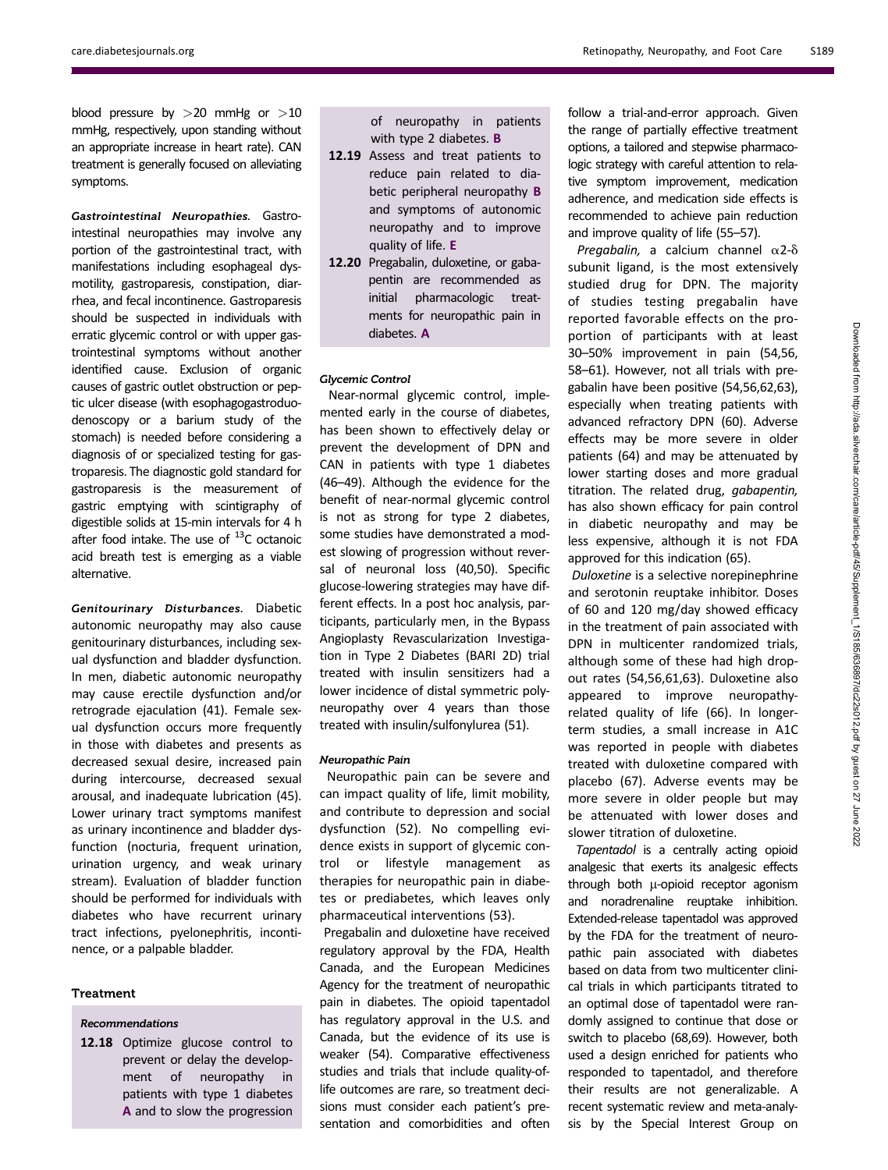blood pressure by  $>$  20 mmHg or  $>$  10 mmHg, respectively, upon standing without an appropriate increase in heart rate). CAN treatment is generally focused on alleviating symptoms.

Gastrointestinal Neuropathies. Gastrointestinal neuropathies may involve any portion of the gastrointestinal tract, with manifestations including esophageal dysmotility, gastroparesis, constipation, diarrhea, and fecal incontinence. Gastroparesis should be suspected in individuals with erratic glycemic control or with upper gastrointestinal symptoms without another identified cause. Exclusion of organic causes of gastric outlet obstruction or peptic ulcer disease (with esophagogastroduodenoscopy or a barium study of the stomach) is needed before considering a diagnosis of or specialized testing for gastroparesis. The diagnostic gold standard for gastroparesis is the measurement of gastric emptying with scintigraphy of digestible solids at 15-min intervals for 4 h after food intake. The use of  $^{13}$ C octanoic acid breath test is emerging as a viable alternative.

Genitourinary Disturbances. Diabetic autonomic neuropathy may also cause genitourinary disturbances, including sexual dysfunction and bladder dysfunction. In men, diabetic autonomic neuropathy may cause erectile dysfunction and/or retrograde ejaculation (41). Female sexual dysfunction occurs more frequently in those with diabetes and presents as decreased sexual desire, increased pain during intercourse, decreased sexual arousal, and inadequate lubrication (45). Lower urinary tract symptoms manifest as urinary incontinence and bladder dysfunction (nocturia, frequent urination, urination urgency, and weak urinary stream). Evaluation of bladder function should be performed for individuals with diabetes who have recurrent urinary tract infections, pyelonephritis, incontinence, or a palpable bladder.

#### Treatment

## Recommendations

12.18 Optimize glucose control to prevent or delay the development of neuropathy in patients with type 1 diabetes A and to slow the progression of neuropathy in patients with type 2 diabetes. **B** 

- 12.19 Assess and treat patients to reduce pain related to diabetic peripheral neuropathy **B** and symptoms of autonomic neuropathy and to improve quality of life. E
- 12.20 Pregabalin, duloxetine, or gabapentin are recommended as initial pharmacologic treatments for neuropathic pain in diabetes. A

#### Glycemic Control

Near-normal glycemic control, implemented early in the course of diabetes, has been shown to effectively delay or prevent the development of DPN and CAN in patients with type 1 diabetes (46–49). Although the evidence for the benefit of near-normal glycemic control is not as strong for type 2 diabetes, some studies have demonstrated a modest slowing of progression without reversal of neuronal loss (40,50). Specific glucose-lowering strategies may have different effects. In a post hoc analysis, participants, particularly men, in the Bypass Angioplasty Revascularization Investigation in Type 2 Diabetes (BARI 2D) trial treated with insulin sensitizers had a lower incidence of distal symmetric polyneuropathy over 4 years than those treated with insulin/sulfonylurea (51).

#### Neuropathic Pain

Neuropathic pain can be severe and can impact quality of life, limit mobility, and contribute to depression and social dysfunction (52). No compelling evidence exists in support of glycemic control or lifestyle management as therapies for neuropathic pain in diabetes or prediabetes, which leaves only pharmaceutical interventions (53).

Pregabalin and duloxetine have received regulatory approval by the FDA, Health Canada, and the European Medicines Agency for the treatment of neuropathic pain in diabetes. The opioid tapentadol has regulatory approval in the U.S. and Canada, but the evidence of its use is weaker (54). Comparative effectiveness studies and trials that include quality-oflife outcomes are rare, so treatment decisions must consider each patient's presentation and comorbidities and often

follow a trial-and-error approach. Given the range of partially effective treatment options, a tailored and stepwise pharmacologic strategy with careful attention to relative symptom improvement, medication adherence, and medication side effects is recommended to achieve pain reduction and improve quality of life (55–57).

Pregabalin, a calcium channel  $\alpha$ 2- $\delta$ subunit ligand, is the most extensively studied drug for DPN. The majority of studies testing pregabalin have reported favorable effects on the proportion of participants with at least 30–50% improvement in pain (54,56, 58–61). However, not all trials with pregabalin have been positive (54,56,62,63), especially when treating patients with advanced refractory DPN (60). Adverse effects may be more severe in older patients (64) and may be attenuated by lower starting doses and more gradual titration. The related drug, *gabapentin*, has also shown efficacy for pain control in diabetic neuropathy and may be less expensive, although it is not FDA approved for this indication (65).

Duloxetine is a selective norepinephrine and serotonin reuptake inhibitor. Doses of 60 and 120 mg/day showed efficacy in the treatment of pain associated with DPN in multicenter randomized trials, although some of these had high dropout rates (54,56,61,63). Duloxetine also appeared to improve neuropathyrelated quality of life (66). In longerterm studies, a small increase in A1C was reported in people with diabetes treated with duloxetine compared with placebo (67). Adverse events may be more severe in older people but may be attenuated with lower doses and slower titration of duloxetine.

Tapentadol is a centrally acting opioid analgesic that exerts its analgesic effects through both  $\mu$ -opioid receptor agonism and noradrenaline reuptake inhibition. Extended-release tapentadol was approved by the FDA for the treatment of neuropathic pain associated with diabetes based on data from two multicenter clinical trials in which participants titrated to an optimal dose of tapentadol were randomly assigned to continue that dose or switch to placebo (68,69). However, both used a design enriched for patients who responded to tapentadol, and therefore their results are not generalizable. A recent systematic review and meta-analysis by the Special Interest Group on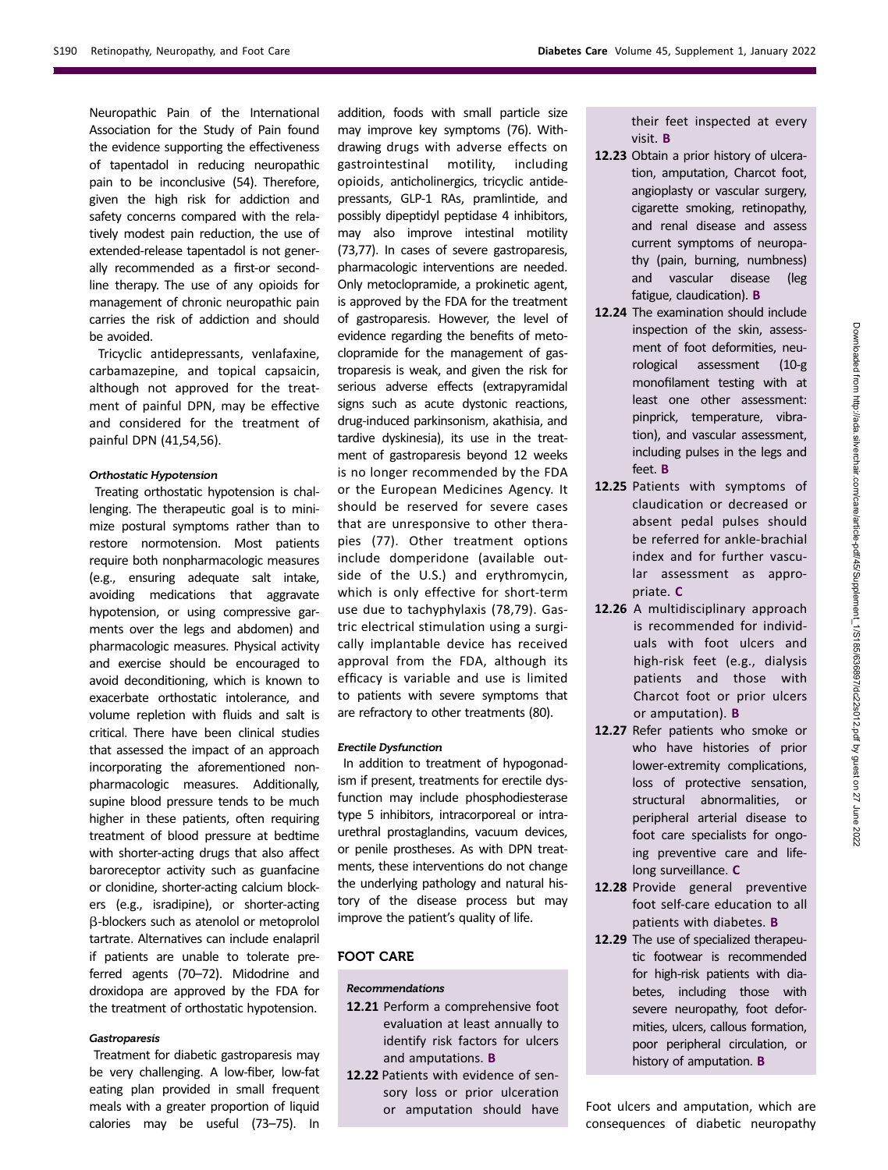Neuropathic Pain of the International Association for the Study of Pain found the evidence supporting the effectiveness of tapentadol in reducing neuropathic pain to be inconclusive (54). Therefore, given the high risk for addiction and safety concerns compared with the relatively modest pain reduction, the use of extended-release tapentadol is not generally recommended as a first-or secondline therapy. The use of any opioids for management of chronic neuropathic pain carries the risk of addiction and should be avoided.

Tricyclic antidepressants, venlafaxine, carbamazepine, and topical capsaicin, although not approved for the treatment of painful DPN, may be effective and considered for the treatment of painful DPN (41,54,56).

#### Orthostatic Hypotension

Treating orthostatic hypotension is challenging. The therapeutic goal is to minimize postural symptoms rather than to restore normotension. Most patients require both nonpharmacologic measures (e.g., ensuring adequate salt intake, avoiding medications that aggravate hypotension, or using compressive garments over the legs and abdomen) and pharmacologic measures. Physical activity and exercise should be encouraged to avoid deconditioning, which is known to exacerbate orthostatic intolerance, and volume repletion with fluids and salt is critical. There have been clinical studies that assessed the impact of an approach incorporating the aforementioned nonpharmacologic measures. Additionally, supine blood pressure tends to be much higher in these patients, often requiring treatment of blood pressure at bedtime with shorter-acting drugs that also affect baroreceptor activity such as guanfacine or clonidine, shorter-acting calcium blockers (e.g., isradipine), or shorter-acting b-blockers such as atenolol or metoprolol tartrate. Alternatives can include enalapril if patients are unable to tolerate preferred agents (70–72). Midodrine and droxidopa are approved by the FDA for the treatment of orthostatic hypotension.

## **Gastroparesis**

Treatment for diabetic gastroparesis may be very challenging. A low-fiber, low-fat eating plan provided in small frequent meals with a greater proportion of liquid calories may be useful (73–75). In

addition, foods with small particle size may improve key symptoms (76). Withdrawing drugs with adverse effects on gastrointestinal motility, including opioids, anticholinergics, tricyclic antidepressants, GLP-1 RAs, pramlintide, and possibly dipeptidyl peptidase 4 inhibitors, may also improve intestinal motility (73,77). In cases of severe gastroparesis, pharmacologic interventions are needed. Only metoclopramide, a prokinetic agent, is approved by the FDA for the treatment of gastroparesis. However, the level of evidence regarding the benefits of metoclopramide for the management of gastroparesis is weak, and given the risk for serious adverse effects (extrapyramidal signs such as acute dystonic reactions, drug-induced parkinsonism, akathisia, and tardive dyskinesia), its use in the treatment of gastroparesis beyond 12 weeks is no longer recommended by the FDA or the European Medicines Agency. It should be reserved for severe cases that are unresponsive to other therapies (77). Other treatment options include domperidone (available outside of the U.S.) and erythromycin, which is only effective for short-term use due to tachyphylaxis (78,79). Gastric electrical stimulation using a surgically implantable device has received approval from the FDA, although its efficacy is variable and use is limited to patients with severe symptoms that are refractory to other treatments (80).

#### Erectile Dysfunction

In addition to treatment of hypogonadism if present, treatments for erectile dysfunction may include phosphodiesterase type 5 inhibitors, intracorporeal or intraurethral prostaglandins, vacuum devices, or penile prostheses. As with DPN treatments, these interventions do not change the underlying pathology and natural history of the disease process but may improve the patient's quality of life.

## FOOT CARE

#### Recommendations

- 12.21 Perform a comprehensive foot evaluation at least annually to identify risk factors for ulcers and amputations. B
- 12.22 Patients with evidence of sensory loss or prior ulceration or amputation should have

their feet inspected at every visit. B

- 12.23 Obtain a prior history of ulceration, amputation, Charcot foot, angioplasty or vascular surgery, cigarette smoking, retinopathy, and renal disease and assess current symptoms of neuropathy (pain, burning, numbness) and vascular disease (leg fatigue, claudication). B
- 12.24 The examination should include inspection of the skin, assessment of foot deformities, neurological assessment (10-g monofilament testing with at least one other assessment: pinprick, temperature, vibration), and vascular assessment, including pulses in the legs and feet. B
- 12.25 Patients with symptoms of claudication or decreased or absent pedal pulses should be referred for ankle-brachial index and for further vascular assessment as appropriate. C
- 12.26 A multidisciplinary approach is recommended for individuals with foot ulcers and high-risk feet (e.g., dialysis patients and those with Charcot foot or prior ulcers or amputation). B
- 12.27 Refer patients who smoke or who have histories of prior lower-extremity complications, loss of protective sensation, structural abnormalities, or peripheral arterial disease to foot care specialists for ongoing preventive care and lifelong surveillance. C
- 12.28 Provide general preventive foot self-care education to all patients with diabetes. B
- 12.29 The use of specialized therapeutic footwear is recommended for high-risk patients with diabetes, including those with severe neuropathy, foot deformities, ulcers, callous formation, poor peripheral circulation, or history of amputation. B

Downloaded from http://ada.silverchair.com/care/article-pdf/45/Supplement\_1/3185/8397/dc222s012.pdf by guest on 27 June 2022 Downloaded from http://ada.silverchair.com/care/article-pdf/45/Supplement\_1/S185/636897/dc22s012.pdf by guest on 27 June 2022

Foot ulcers and amputation, which are consequences of diabetic neuropathy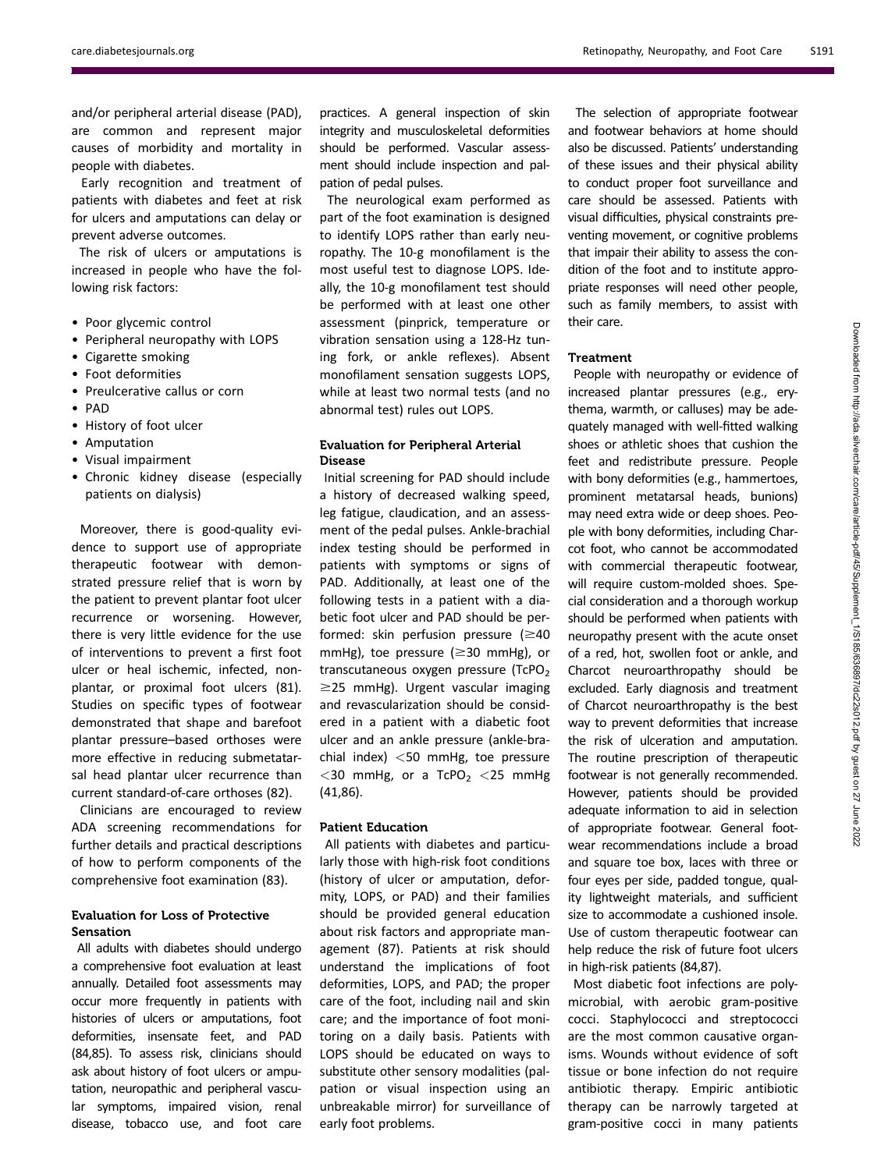and/or peripheral arterial disease (PAD), are common and represent major causes of morbidity and mortality in people with diabetes.

Early recognition and treatment of patients with diabetes and feet at risk for ulcers and amputations can delay or prevent adverse outcomes.

The risk of ulcers or amputations is increased in people who have the following risk factors:

- Poor glycemic control
- Peripheral neuropathy with LOPS
- Cigarette smoking
- Foot deformities
- Preulcerative callus or corn
- PAD
- History of foot ulcer
- Amputation
- Visual impairment
- Chronic kidney disease (especially patients on dialysis)

Moreover, there is good-quality evidence to support use of appropriate therapeutic footwear with demonstrated pressure relief that is worn by the patient to prevent plantar foot ulcer recurrence or worsening. However, there is very little evidence for the use of interventions to prevent a first foot ulcer or heal ischemic, infected, nonplantar, or proximal foot ulcers (81). Studies on specific types of footwear demonstrated that shape and barefoot plantar pressure–based orthoses were more effective in reducing submetatarsal head plantar ulcer recurrence than current standard-of-care orthoses (82).

Clinicians are encouraged to review ADA screening recommendations for further details and practical descriptions of how to perform components of the comprehensive foot examination (83).

## Evaluation for Loss of Protective Sensation

All adults with diabetes should undergo a comprehensive foot evaluation at least annually. Detailed foot assessments may occur more frequently in patients with histories of ulcers or amputations, foot deformities, insensate feet, and PAD (84,85). To assess risk, clinicians should ask about history of foot ulcers or amputation, neuropathic and peripheral vascular symptoms, impaired vision, renal disease, tobacco use, and foot care

practices. A general inspection of skin integrity and musculoskeletal deformities should be performed. Vascular assessment should include inspection and palpation of pedal pulses.

The neurological exam performed as part of the foot examination is designed to identify LOPS rather than early neuropathy. The 10-g monofilament is the most useful test to diagnose LOPS. Ideally, the 10-g monofilament test should be performed with at least one other assessment (pinprick, temperature or vibration sensation using a 128-Hz tuning fork, or ankle reflexes). Absent monofilament sensation suggests LOPS, while at least two normal tests (and no abnormal test) rules out LOPS.

## Evaluation for Peripheral Arterial Disease

Initial screening for PAD should include a history of decreased walking speed, leg fatigue, claudication, and an assessment of the pedal pulses. Ankle-brachial index testing should be performed in patients with symptoms or signs of PAD. Additionally, at least one of the following tests in a patient with a diabetic foot ulcer and PAD should be performed: skin perfusion pressure ( $\geq$ 40 mmHg), toe pressure ( $\geq$ 30 mmHg), or transcutaneous oxygen pressure ( $TcPO<sub>2</sub>$  $\geq$ 25 mmHg). Urgent vascular imaging and revascularization should be considered in a patient with a diabetic foot ulcer and an ankle pressure (ankle-brachial index) <50 mmHg, toe pressure  $<$ 30 mmHg, or a TcPO<sub>2</sub>  $<$ 25 mmHg (41,86).

## Patient Education

All patients with diabetes and particularly those with high-risk foot conditions (history of ulcer or amputation, deformity, LOPS, or PAD) and their families should be provided general education about risk factors and appropriate management (87). Patients at risk should understand the implications of foot deformities, LOPS, and PAD; the proper care of the foot, including nail and skin care; and the importance of foot monitoring on a daily basis. Patients with LOPS should be educated on ways to substitute other sensory modalities (palpation or visual inspection using an unbreakable mirror) for surveillance of early foot problems.

The selection of appropriate footwear and footwear behaviors at home should also be discussed. Patients' understanding of these issues and their physical ability to conduct proper foot surveillance and care should be assessed. Patients with visual difficulties, physical constraints preventing movement, or cognitive problems that impair their ability to assess the condition of the foot and to institute appropriate responses will need other people, such as family members, to assist with their care.

#### Treatment

People with neuropathy or evidence of increased plantar pressures (e.g., erythema, warmth, or calluses) may be adequately managed with well-fitted walking shoes or athletic shoes that cushion the feet and redistribute pressure. People with bony deformities (e.g., hammertoes, prominent metatarsal heads, bunions) may need extra wide or deep shoes. People with bony deformities, including Charcot foot, who cannot be accommodated with commercial therapeutic footwear, will require custom-molded shoes. Special consideration and a thorough workup should be performed when patients with neuropathy present with the acute onset of a red, hot, swollen foot or ankle, and Charcot neuroarthropathy should be excluded. Early diagnosis and treatment of Charcot neuroarthropathy is the best way to prevent deformities that increase the risk of ulceration and amputation. The routine prescription of therapeutic footwear is not generally recommended. However, patients should be provided adequate information to aid in selection of appropriate footwear. General footwear recommendations include a broad and square toe box, laces with three or four eyes per side, padded tongue, quality lightweight materials, and sufficient size to accommodate a cushioned insole. Use of custom therapeutic footwear can help reduce the risk of future foot ulcers in high-risk patients (84,87).

Most diabetic foot infections are polymicrobial, with aerobic gram-positive cocci. Staphylococci and streptococci are the most common causative organisms. Wounds without evidence of soft tissue or bone infection do not require antibiotic therapy. Empiric antibiotic therapy can be narrowly targeted at gram-positive cocci in many patients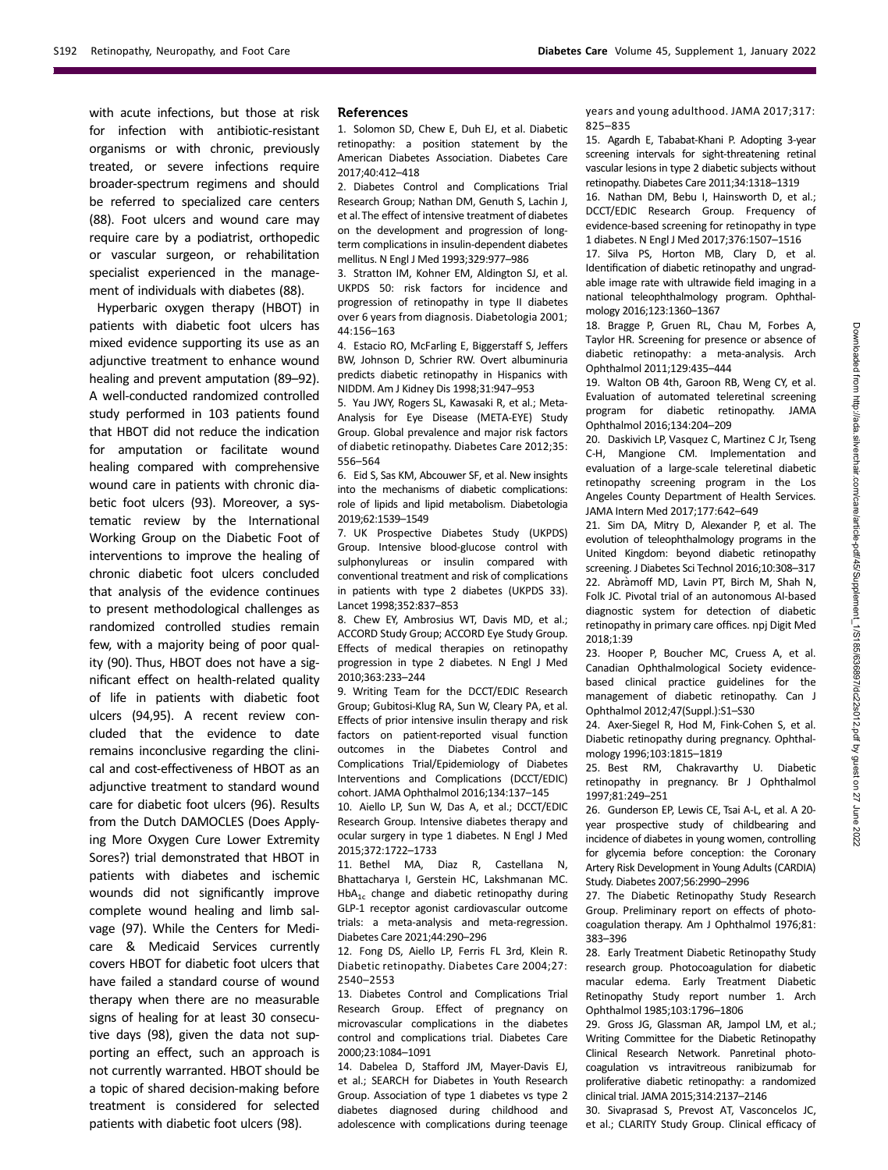with acute infections, but those at risk for infection with antibiotic-resistant organisms or with chronic, previously treated, or severe infections require broader-spectrum regimens and should be referred to specialized care centers (88). Foot ulcers and wound care may require care by a podiatrist, orthopedic or vascular surgeon, or rehabilitation specialist experienced in the management of individuals with diabetes (88).

Hyperbaric oxygen therapy (HBOT) in patients with diabetic foot ulcers has mixed evidence supporting its use as an adjunctive treatment to enhance wound healing and prevent amputation (89–92). A well-conducted randomized controlled study performed in 103 patients found that HBOT did not reduce the indication for amputation or facilitate wound healing compared with comprehensive wound care in patients with chronic diabetic foot ulcers (93). Moreover, a systematic review by the International Working Group on the Diabetic Foot of interventions to improve the healing of chronic diabetic foot ulcers concluded that analysis of the evidence continues to present methodological challenges as randomized controlled studies remain few, with a majority being of poor quality (90). Thus, HBOT does not have a significant effect on health-related quality of life in patients with diabetic foot ulcers (94,95). A recent review concluded that the evidence to date remains inconclusive regarding the clinical and cost-effectiveness of HBOT as an adjunctive treatment to standard wound care for diabetic foot ulcers (96). Results from the Dutch DAMOCLES (Does Applying More Oxygen Cure Lower Extremity Sores?) trial demonstrated that HBOT in patients with diabetes and ischemic wounds did not significantly improve complete wound healing and limb salvage (97). While the Centers for Medicare & Medicaid Services currently covers HBOT for diabetic foot ulcers that have failed a standard course of wound therapy when there are no measurable signs of healing for at least 30 consecutive days (98), given the data not supporting an effect, such an approach is not currently warranted. HBOT should be a topic of shared decision-making before treatment is considered for selected patients with diabetic foot ulcers (98).

### References

1. Solomon SD, Chew E, Duh EJ, et al. Diabetic retinopathy: a position statement by the American Diabetes Association. Diabetes Care 2017;40:412–418

2. Diabetes Control and Complications Trial Research Group; Nathan DM, Genuth S, Lachin J, et al.The effect of intensive treatment of diabetes on the development and progression of longterm complications in insulin-dependent diabetes mellitus. N Engl J Med 1993;329:977–986

3. Stratton IM, Kohner EM, Aldington SJ, et al. UKPDS 50: risk factors for incidence and progression of retinopathy in type II diabetes over 6 years from diagnosis. Diabetologia 2001; 44:156–163

4. Estacio RO, McFarling E, Biggerstaff S, Jeffers BW, Johnson D, Schrier RW. Overt albuminuria predicts diabetic retinopathy in Hispanics with NIDDM. Am J Kidney Dis 1998;31:947–953

5. Yau JWY, Rogers SL, Kawasaki R, et al.; Meta-Analysis for Eye Disease (META-EYE) Study Group. Global prevalence and major risk factors of diabetic retinopathy. Diabetes Care 2012;35: 556–564

6. Eid S, Sas KM, Abcouwer SF, et al. New insights into the mechanisms of diabetic complications: role of lipids and lipid metabolism. Diabetologia 2019;62:1539–1549

7. UK Prospective Diabetes Study (UKPDS) Group. Intensive blood-glucose control with sulphonylureas or insulin compared with conventional treatment and risk of complications in patients with type 2 diabetes (UKPDS 33). Lancet 1998;352:837–853

8. Chew EY, Ambrosius WT, Davis MD, et al.; ACCORD Study Group; ACCORD Eye Study Group. Effects of medical therapies on retinopathy progression in type 2 diabetes. N Engl J Med 2010;363:233–244

9. Writing Team for the DCCT/EDIC Research Group; Gubitosi-Klug RA, Sun W, Cleary PA, et al. Effects of prior intensive insulin therapy and risk factors on patient-reported visual function outcomes in the Diabetes Control and Complications Trial/Epidemiology of Diabetes Interventions and Complications (DCCT/EDIC) cohort. JAMA Ophthalmol 2016;134:137–145

10. Aiello LP, Sun W, Das A, et al.; DCCT/EDIC Research Group. Intensive diabetes therapy and ocular surgery in type 1 diabetes. N Engl J Med 2015;372:1722–1733

11. Bethel MA, Diaz R, Castellana N, Bhattacharya I, Gerstein HC, Lakshmanan MC.  $HbA_{1c}$  change and diabetic retinopathy during GLP-1 receptor agonist cardiovascular outcome trials: a meta-analysis and meta-regression. Diabetes Care 2021;44:290–296

12. Fong DS, Aiello LP, Ferris FL 3rd, Klein R. Diabetic retinopathy. Diabetes Care 2004;27: 2540–2553

13. Diabetes Control and Complications Trial Research Group. Effect of pregnancy on microvascular complications in the diabetes control and complications trial. Diabetes Care 2000;23:1084–1091

14. Dabelea D, Stafford JM, Mayer-Davis EJ, et al.; SEARCH for Diabetes in Youth Research Group. Association of type 1 diabetes vs type 2 diabetes diagnosed during childhood and adolescence with complications during teenage

years and young adulthood. JAMA 2017;317: 825–835

15. Agardh E, Tababat-Khani P. Adopting 3-year screening intervals for sight-threatening retinal vascular lesions in type 2 diabetic subjects without retinopathy. Diabetes Care 2011;34:1318–1319

16. Nathan DM, Bebu I, Hainsworth D, et al.; DCCT/EDIC Research Group. Frequency of evidence-based screening for retinopathy in type 1 diabetes. N Engl J Med 2017;376:1507–1516

17. Silva PS, Horton MB, Clary D, et al. Identification of diabetic retinopathy and ungradable image rate with ultrawide field imaging in a national teleophthalmology program. Ophthalmology 2016;123:1360–1367

18. Bragge P, Gruen RL, Chau M, Forbes A, Taylor HR. Screening for presence or absence of diabetic retinopathy: a meta-analysis. Arch Ophthalmol 2011;129:435–444

19. Walton OB 4th, Garoon RB, Weng CY, et al. Evaluation of automated teleretinal screening program for diabetic retinopathy. JAMA Ophthalmol 2016;134:204–209

20. Daskivich LP, Vasquez C, Martinez C Jr, Tseng C-H, Mangione CM. Implementation and evaluation of a large-scale teleretinal diabetic retinopathy screening program in the Los Angeles County Department of Health Services. JAMA Intern Med 2017;177:642–649

21. Sim DA, Mitry D, Alexander P, et al. The evolution of teleophthalmology programs in the United Kingdom: beyond diabetic retinopathy screening. J Diabetes Sci Technol 2016;10:308–317 22. Abràmoff MD, Lavin PT, Birch M, Shah N, Folk JC. Pivotal trial of an autonomous AI-based diagnostic system for detection of diabetic retinopathy in primary care offices. npj Digit Med 2018;1:39

23. Hooper P, Boucher MC, Cruess A, et al. Canadian Ophthalmological Society evidencebased clinical practice guidelines for the management of diabetic retinopathy. Can J Ophthalmol 2012;47(Suppl.):S1–S30

24. Axer-Siegel R, Hod M, Fink-Cohen S, et al. Diabetic retinopathy during pregnancy. Ophthalmology 1996;103:1815–1819

25. Best RM, Chakravarthy U. Diabetic retinopathy in pregnancy. Br J Ophthalmol 1997;81:249–251

26. Gunderson EP, Lewis CE, Tsai A-L, et al. A 20 year prospective study of childbearing and incidence of diabetes in young women, controlling for glycemia before conception: the Coronary Artery Risk Development in Young Adults (CARDIA) Study. Diabetes 2007;56:2990–2996

27. The Diabetic Retinopathy Study Research Group. Preliminary report on effects of photocoagulation therapy. Am J Ophthalmol 1976;81: 383–396

28. Early Treatment Diabetic Retinopathy Study research group. Photocoagulation for diabetic macular edema. Early Treatment Diabetic Retinopathy Study report number 1. Arch Ophthalmol 1985;103:1796–1806

29. Gross JG, Glassman AR, Jampol LM, et al.; Writing Committee for the Diabetic Retinopathy Clinical Research Network. Panretinal photocoagulation vs intravitreous ranibizumab for proliferative diabetic retinopathy: a randomized clinical trial. JAMA 2015;314:2137–2146

30. Sivaprasad S, Prevost AT, Vasconcelos JC, et al.; CLARITY Study Group. Clinical efficacy of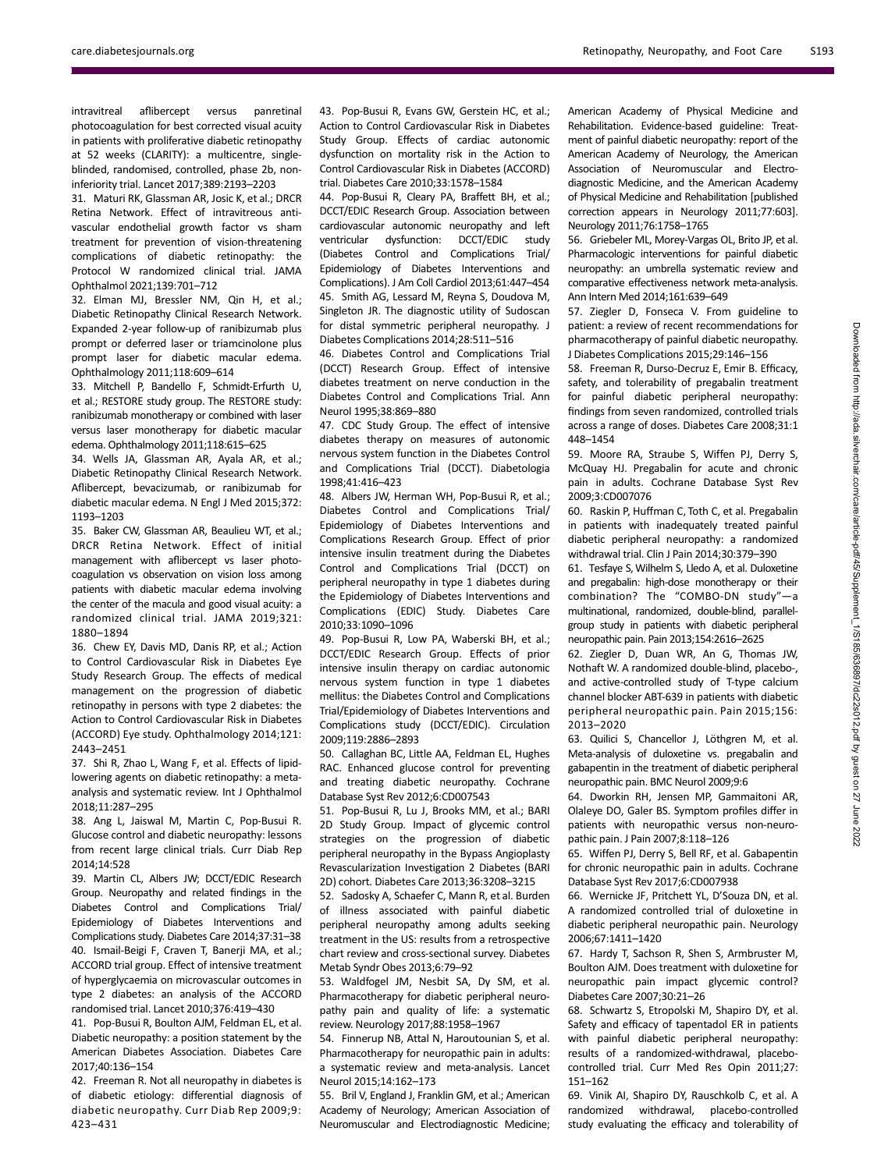intravitreal aflibercept versus panretinal photocoagulation for best corrected visual acuity in patients with proliferative diabetic retinopathy at 52 weeks (CLARITY): a multicentre, singleblinded, randomised, controlled, phase 2b, noninferiority trial. Lancet 2017;389:2193–2203

31. Maturi RK, Glassman AR, Josic K, et al.; DRCR Retina Network. Effect of intravitreous antivascular endothelial growth factor vs sham treatment for prevention of vision-threatening complications of diabetic retinopathy: the Protocol W randomized clinical trial. JAMA Ophthalmol 2021;139:701–712

32. Elman MJ, Bressler NM, Qin H, et al.; Diabetic Retinopathy Clinical Research Network. Expanded 2-year follow-up of ranibizumab plus prompt or deferred laser or triamcinolone plus prompt laser for diabetic macular edema. Ophthalmology 2011;118:609–614

33. Mitchell P, Bandello F, Schmidt-Erfurth U, et al.; RESTORE study group. The RESTORE study: ranibizumab monotherapy or combined with laser versus laser monotherapy for diabetic macular edema. Ophthalmology 2011;118:615–625

34. Wells JA, Glassman AR, Ayala AR, et al.; Diabetic Retinopathy Clinical Research Network. Aflibercept, bevacizumab, or ranibizumab for diabetic macular edema. N Engl J Med 2015;372: 1193–1203

35. Baker CW, Glassman AR, Beaulieu WT, et al.; DRCR Retina Network. Effect of initial management with aflibercept vs laser photocoagulation vs observation on vision loss among patients with diabetic macular edema involving the center of the macula and good visual acuity: a randomized clinical trial. JAMA 2019;321: 1880–1894

36. Chew EY, Davis MD, Danis RP, et al.; Action to Control Cardiovascular Risk in Diabetes Eye Study Research Group. The effects of medical management on the progression of diabetic retinopathy in persons with type 2 diabetes: the Action to Control Cardiovascular Risk in Diabetes (ACCORD) Eye study. Ophthalmology 2014;121: 2443–2451

37. Shi R, Zhao L, Wang F, et al. Effects of lipidlowering agents on diabetic retinopathy: a metaanalysis and systematic review. Int J Ophthalmol 2018;11:287–295

38. Ang L, Jaiswal M, Martin C, Pop-Busui R. Glucose control and diabetic neuropathy: lessons from recent large clinical trials. Curr Diab Rep 2014;14:528

39. Martin CL, Albers JW; DCCT/EDIC Research Group. Neuropathy and related findings in the Diabetes Control and Complications Trial/ Epidemiology of Diabetes Interventions and Complications study. Diabetes Care 2014;37:31–38 40. Ismail-Beigi F, Craven T, Banerji MA, et al.; ACCORD trial group. Effect of intensive treatment of hyperglycaemia on microvascular outcomes in type 2 diabetes: an analysis of the ACCORD randomised trial. Lancet 2010;376:419–430

41. Pop-Busui R, Boulton AJM, Feldman EL, et al. Diabetic neuropathy: a position statement by the American Diabetes Association. Diabetes Care 2017;40:136–154

42. Freeman R. Not all neuropathy in diabetes is of diabetic etiology: differential diagnosis of diabetic neuropathy. Curr Diab Rep 2009;9: 423–431

43. Pop-Busui R, Evans GW, Gerstein HC, et al.; Action to Control Cardiovascular Risk in Diabetes Study Group. Effects of cardiac autonomic dysfunction on mortality risk in the Action to Control Cardiovascular Risk in Diabetes (ACCORD) trial. Diabetes Care 2010;33:1578–1584

44. Pop-Busui R, Cleary PA, Braffett BH, et al.; DCCT/EDIC Research Group. Association between cardiovascular autonomic neuropathy and left ventricular dysfunction: DCCT/EDIC study (Diabetes Control and Complications Trial/ Epidemiology of Diabetes Interventions and Complications). J Am Coll Cardiol 2013;61:447–454 45. Smith AG, Lessard M, Reyna S, Doudova M, Singleton JR. The diagnostic utility of Sudoscan for distal symmetric peripheral neuropathy. J Diabetes Complications 2014;28:511–516

46. Diabetes Control and Complications Trial (DCCT) Research Group. Effect of intensive diabetes treatment on nerve conduction in the Diabetes Control and Complications Trial. Ann Neurol 1995;38:869–880

47. CDC Study Group. The effect of intensive diabetes therapy on measures of autonomic nervous system function in the Diabetes Control and Complications Trial (DCCT). Diabetologia 1998;41:416–423

48. Albers JW, Herman WH, Pop-Busui R, et al.; Diabetes Control and Complications Trial/ Epidemiology of Diabetes Interventions and Complications Research Group. Effect of prior intensive insulin treatment during the Diabetes Control and Complications Trial (DCCT) on peripheral neuropathy in type 1 diabetes during the Epidemiology of Diabetes Interventions and Complications (EDIC) Study. Diabetes Care 2010;33:1090–1096

49. Pop-Busui R, Low PA, Waberski BH, et al.; DCCT/EDIC Research Group. Effects of prior intensive insulin therapy on cardiac autonomic nervous system function in type 1 diabetes mellitus: the Diabetes Control and Complications Trial/Epidemiology of Diabetes Interventions and Complications study (DCCT/EDIC). Circulation 2009;119:2886–2893

50. Callaghan BC, Little AA, Feldman EL, Hughes RAC. Enhanced glucose control for preventing and treating diabetic neuropathy. Cochrane Database Syst Rev 2012;6:CD007543

51. Pop-Busui R, Lu J, Brooks MM, et al.; BARI 2D Study Group. Impact of glycemic control strategies on the progression of diabetic peripheral neuropathy in the Bypass Angioplasty Revascularization Investigation 2 Diabetes (BARI 2D) cohort. Diabetes Care 2013;36:3208–3215

52. Sadosky A, Schaefer C, Mann R, et al. Burden of illness associated with painful diabetic peripheral neuropathy among adults seeking treatment in the US: results from a retrospective chart review and cross-sectional survey. Diabetes Metab Syndr Obes 2013;6:79–92

53. Waldfogel JM, Nesbit SA, Dy SM, et al. Pharmacotherapy for diabetic peripheral neuropathy pain and quality of life: a systematic review. Neurology 2017;88:1958–1967

54. Finnerup NB, Attal N, Haroutounian S, et al. Pharmacotherapy for neuropathic pain in adults: a systematic review and meta-analysis. Lancet Neurol 2015;14:162–173

55. Bril V, England J, Franklin GM, et al.; American Academy of Neurology; American Association of Neuromuscular and Electrodiagnostic Medicine; American Academy of Physical Medicine and Rehabilitation. Evidence-based guideline: Treatment of painful diabetic neuropathy: report of the American Academy of Neurology, the American Association of Neuromuscular and Electrodiagnostic Medicine, and the American Academy of Physical Medicine and Rehabilitation [published correction appears in Neurology 2011;77:603]. Neurology 2011;76:1758–1765

56. Griebeler ML, Morey-Vargas OL, Brito JP, et al. Pharmacologic interventions for painful diabetic neuropathy: an umbrella systematic review and comparative effectiveness network meta-analysis. Ann Intern Med 2014;161:639–649

57. Ziegler D, Fonseca V. From guideline to patient: a review of recent recommendations for pharmacotherapy of painful diabetic neuropathy. J Diabetes Complications 2015;29:146–156

58. Freeman R, Durso-Decruz E, Emir B. Efficacy, safety, and tolerability of pregabalin treatment for painful diabetic peripheral neuropathy: findings from seven randomized, controlled trials across a range of doses. Diabetes Care 2008;31:1 448–1454

59. Moore RA, Straube S, Wiffen PJ, Derry S, McQuay HJ. Pregabalin for acute and chronic pain in adults. Cochrane Database Syst Rev 2009;3:CD007076

60. Raskin P, Huffman C, Toth C, et al. Pregabalin in patients with inadequately treated painful diabetic peripheral neuropathy: a randomized withdrawal trial. Clin J Pain 2014;30:379–390

61. Tesfaye S, Wilhelm S, Lledo A, et al. Duloxetine and pregabalin: high-dose monotherapy or their combination? The "COMBO-DN study"—a multinational, randomized, double-blind, parallelgroup study in patients with diabetic peripheral neuropathic pain. Pain 2013;154:2616–2625

62. Ziegler D, Duan WR, An G, Thomas JW, Nothaft W. A randomized double-blind, placebo-, and active-controlled study of T-type calcium channel blocker ABT-639 in patients with diabetic peripheral neuropathic pain. Pain 2015;156: 2013–2020

63. Quilici S, Chancellor J, Löthgren M, et al. Meta-analysis of duloxetine vs. pregabalin and gabapentin in the treatment of diabetic peripheral neuropathic pain. BMC Neurol 2009;9:6

64. Dworkin RH, Jensen MP, Gammaitoni AR, Olaleye DO, Galer BS. Symptom profiles differ in patients with neuropathic versus non-neuropathic pain. J Pain 2007;8:118–126

65. Wiffen PJ, Derry S, Bell RF, et al. Gabapentin for chronic neuropathic pain in adults. Cochrane Database Syst Rev 2017;6:CD007938

66. Wernicke JF, Pritchett YL, D'Souza DN, et al. A randomized controlled trial of duloxetine in diabetic peripheral neuropathic pain. Neurology 2006;67:1411–1420

67. Hardy T, Sachson R, Shen S, Armbruster M, Boulton AJM. Does treatment with duloxetine for neuropathic pain impact glycemic control? Diabetes Care 2007;30:21–26

68. Schwartz S, Etropolski M, Shapiro DY, et al. Safety and efficacy of tapentadol ER in patients with painful diabetic peripheral neuropathy: results of a randomized-withdrawal, placebocontrolled trial. Curr Med Res Opin 2011;27: 151–162

69. Vinik AI, Shapiro DY, Rauschkolb C, et al. A randomized withdrawal, placebo-controlled study evaluating the efficacy and tolerability of